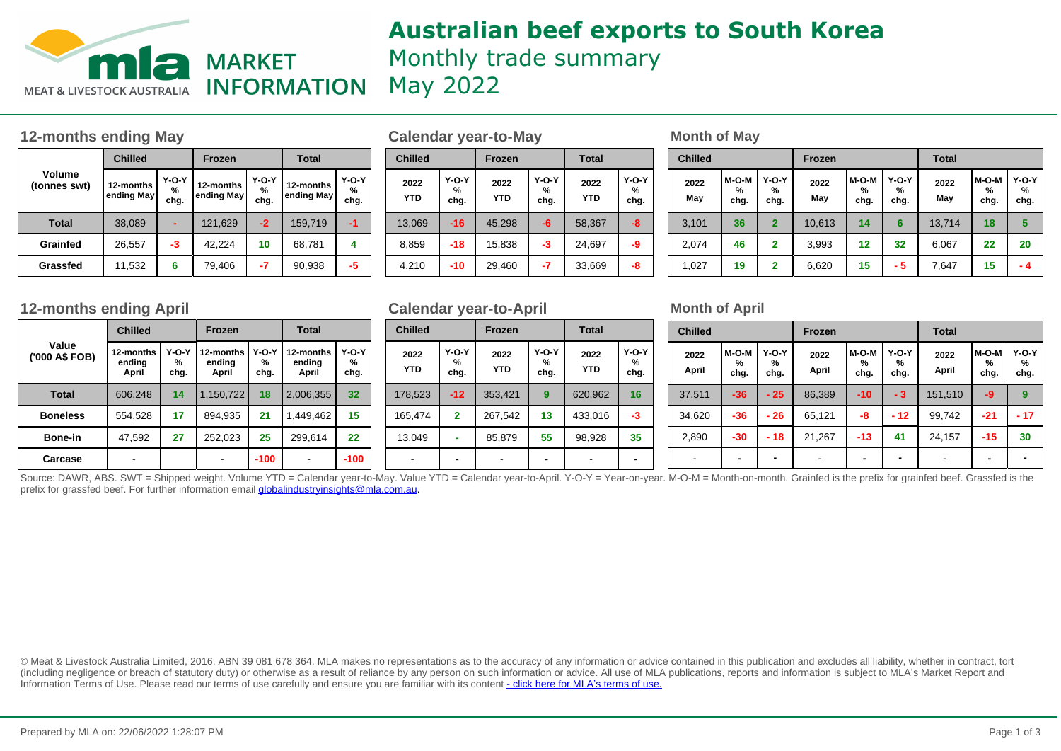

# **Australian beef exports to South Korea** Monthly trade summary May 2022

## **12-months ending May be a set of Calendar year-to-May be a set of May Month of May**

|                        | <b>Chilled</b>                                                             |    | <b>Frozen</b>        |                          | Total                     |    |  |
|------------------------|----------------------------------------------------------------------------|----|----------------------|--------------------------|---------------------------|----|--|
| Volume<br>(tonnes swt) | $Y-O-Y$<br>12-months<br>12-months<br>%<br>ending May<br>ending May<br>chg. |    | $Y-O-Y$<br>%<br>chg. | 12-months<br>ending May! | <b>Y-O-Y</b><br>%<br>chg. |    |  |
| <b>Total</b>           | 38,089                                                                     |    | 121,629              | $-2$                     | 159,719                   | -1 |  |
| Grainfed               | 26,557                                                                     | -3 | 42,224               | 10                       | 68,781                    | 4  |  |
| Grassfed               | 11,532                                                                     | 6  | 79,406               | -7                       | 90,938                    | -5 |  |

| Frozen                |                                  | <b>Total</b>            |                           |  | <b>Chilled</b>     |                           | <b>Frozen</b>      |                           | <b>Total</b>       |                      |  |
|-----------------------|----------------------------------|-------------------------|---------------------------|--|--------------------|---------------------------|--------------------|---------------------------|--------------------|----------------------|--|
| 2-months<br>ıding May | $Y-O-Y$<br>$\frac{9}{6}$<br>chg. | 12-months<br>ending May | <b>Y-O-Y</b><br>%<br>chg. |  | 2022<br><b>YTD</b> | <b>Y-O-Y</b><br>%<br>chg. | 2022<br><b>YTD</b> | <b>Y-O-Y</b><br>%<br>chg. | 2022<br><b>YTD</b> | $Y-O-Y$<br>%<br>chg. |  |
| 121,629               | $-2$                             | 159,719                 | -1                        |  | 13,069             | $-16$                     | 45,298             | -6                        | 58,367             | -8                   |  |
| 42.224                | 10                               | 68,781                  | 4                         |  | 8,859              | $-18$                     | 15,838             | -3                        | 24,697             | -9                   |  |
| 79,406                | -7                               | 90,938                  | -5                        |  | 4,210              | -10                       | 29,460             | $-7$                      | 33,669             | -8                   |  |

| <b>Chilled</b> |                      |                           | <b>Frozen</b> |                    |                           | Total       |                    |                    |  |  |
|----------------|----------------------|---------------------------|---------------|--------------------|---------------------------|-------------|--------------------|--------------------|--|--|
| 2022<br>May    | $M-O-M$<br>%<br>chg. | <b>Y-O-Y</b><br>%<br>chg. | 2022<br>May   | M-O-M<br>%<br>chg. | <b>Y-O-Y</b><br>%<br>chg. | 2022<br>May | M-O-M<br>%<br>chg. | Y-O-Y<br>%<br>chg. |  |  |
| 3,101          | 36                   | $\overline{2}$            | 10,613        | 14                 | 6                         | 13,714      | 18                 | 5                  |  |  |
| 2,074          | 46                   | $\mathbf{2}$              | 3,993         | 12                 | 32                        | 6,067       | 22                 | 20                 |  |  |
| 1,027          | 19                   | $\overline{2}$            | 6,620         | 15                 | - 5                       | 7,647       | 15                 | - 4                |  |  |

### **12-months ending April 12-months ending April Month of April Calendar year-to-April Month of April**

|                         | <b>Chilled</b>               |                      | <b>Frozen</b>                |                      | <b>Total</b>                 |                      |  |
|-------------------------|------------------------------|----------------------|------------------------------|----------------------|------------------------------|----------------------|--|
| Value<br>('000 A\$ FOB) | 12-months<br>ending<br>April | $Y-O-Y$<br>℅<br>chg. | 12-months<br>ending<br>April | $Y-O-Y$<br>%<br>chg. | 12-months<br>ending<br>April | $Y-O-Y$<br>℅<br>chg. |  |
| Total                   | 606,248                      | 14                   | 1,150,722                    | 18                   | 2,006,355                    | 32                   |  |
| <b>Boneless</b>         | 554,528                      | 17                   | 894.935                      | 21                   | 1,449,462                    | 15                   |  |
| <b>Bone-in</b>          | 47,592                       | 27                   | 252,023                      | 25                   | 299,614                      | 22                   |  |
| Carcase                 |                              |                      |                              | $-100$               |                              | -100                 |  |

### **Calendar year-to-April**

| <b>Chilled</b>     |                           | <b>Frozen</b>      |                    | <b>Total</b>       |                    |  |  |
|--------------------|---------------------------|--------------------|--------------------|--------------------|--------------------|--|--|
| 2022<br><b>YTD</b> | <b>Y-O-Y</b><br>%<br>chg. | 2022<br><b>YTD</b> | Y-O-Y<br>%<br>chg. | 2022<br><b>YTD</b> | Y-O-Y<br>%<br>chg. |  |  |
| 178,523            | $-12$                     | 353,421            | 9                  | 620,962            | 16                 |  |  |
| 165,474            | $\mathbf{2}$              | 267,542            | 13                 | 433,016            | -3                 |  |  |
| 13,049             |                           | 85,879             | 55                 | 98,928             | 35                 |  |  |
|                    |                           |                    |                    |                    |                    |  |  |

| <b>Chilled</b> |                          |                           | <b>Frozen</b> |                          |                           | <b>Total</b>  |                    |                           |  |  |
|----------------|--------------------------|---------------------------|---------------|--------------------------|---------------------------|---------------|--------------------|---------------------------|--|--|
| 2022<br>April  | $M-O-M$<br>℅<br>chg.     | <b>Y-O-Y</b><br>%<br>chg. | 2022<br>April | M-O-M<br>℅<br>chg.       | <b>Y-O-Y</b><br>%<br>chg. | 2022<br>April | M-O-M<br>%<br>chg. | <b>Y-O-Y</b><br>℅<br>chg. |  |  |
| 37,511         | $-36$                    | $-25$                     | 86,389        | $-10$                    | $-3$                      | 151,510       | -9                 | 9                         |  |  |
| 34.620         | $-36$                    | - 26                      | 65,121        | -8                       | $-12$                     | 99.742        | $-21$              | $-17$                     |  |  |
| 2,890          | $-30$                    | - 18                      | 21,267        | $-13$                    | 41                        | 24,157        | -15                | 30                        |  |  |
| -              | $\overline{\phantom{0}}$ | $\blacksquare$            |               | $\overline{\phantom{0}}$ | -                         |               |                    |                           |  |  |

Source: DAWR, ABS. SWT = Shipped weight. Volume YTD = Calendar year-to-May. Value YTD = Calendar year-to-April. Y-O-Y = Year-on-year. M-O-M = Month-on-month. Grainfed is the prefix for grainfed beef. Grassfed is the istel prefix for grassfed beef. For further information email globalindustryinsights@mla.com.au.

© Meat & Livestock Australia Limited, 2016. ABN 39 081 678 364. MLA makes no representations as to the accuracy of any information or advice contained in this publication and excludes all liability, whether in contract, tort (including negligence or breach of statutory duty) or otherwise as a result of reliance by any person on such information or advice. All use of MLA publications, reports and information is subject to MLA's Market Report an Information Terms of Use. Please read our terms of use carefully and ensure you are familiar with its content [- click here for MLA](http://www.mla.com.au/files/edae0364-a185-4a6f-9dff-a42700d1463a/MLA-Market-Report-and-Information-Terms-of-use-Dec-2014.pdf)'[s terms of use.](http://www.mla.com.au/files/edae0364-a185-4a6f-9dff-a42700d1463a/MLA-Market-Report-and-Information-Terms-of-use-Dec-2014.pdf)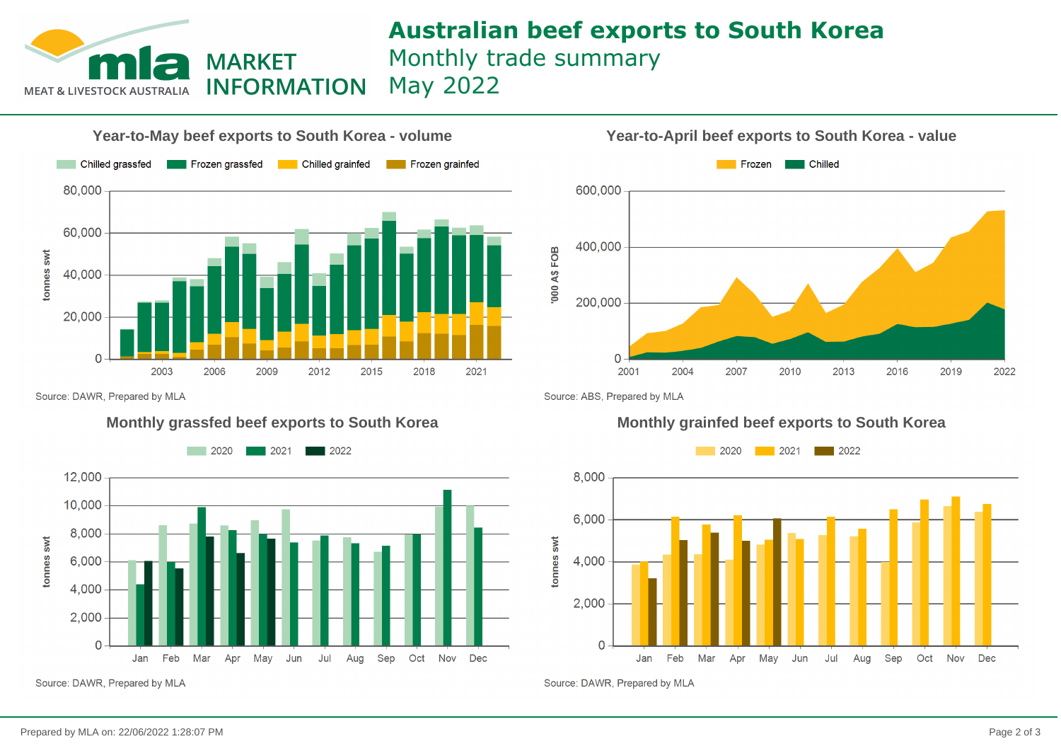## **Australian beef exports to South Korea** Monthly trade summary May 2022



**MARKET** 



Source: DAWR, Prepared by MLA



Source: DAWR, Prepared by MLA

**Year-to-April beef exports to South Korea - value**



Source: ABS, Prepared by MLA

### **Monthly grassfed beef exports to South Korea Monthly grainfed beef exports to South Korea**



Source: DAWR, Prepared by MLA